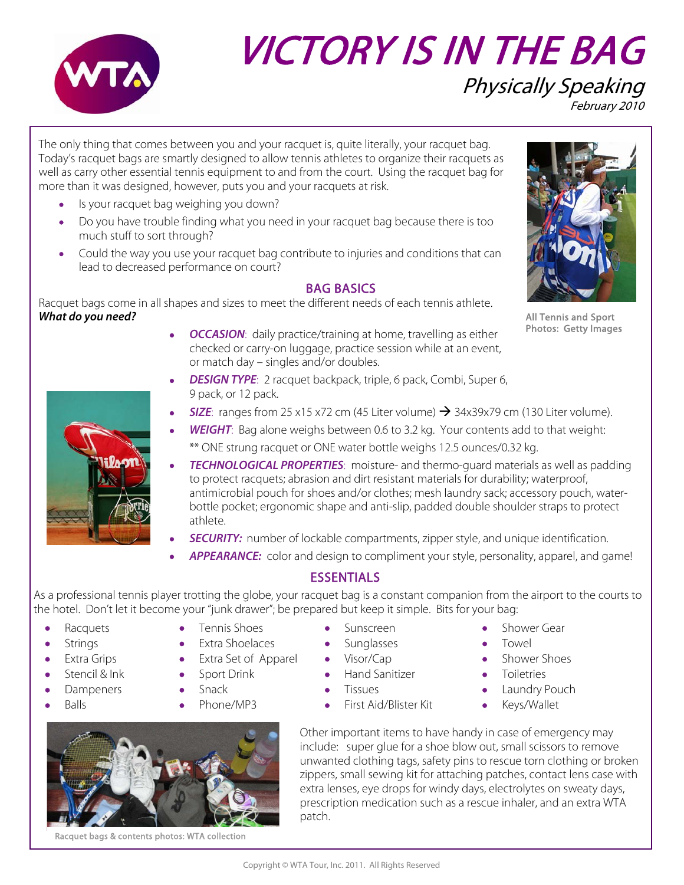

# VICTORY IS IN THE BAG Physically Speaking February 2010

The only thing that comes between you and your racquet is, quite literally, your racquet bag. Today's racquet bags are smartly designed to allow tennis athletes to organize their racquets as well as carry other essential tennis equipment to and from the court. Using the racquet bag for more than it was designed, however, puts you and your racquets at risk.

- Is your racquet bag weighing you down?
- Do you have trouble finding what you need in your racquet bag because there is too much stuff to sort through?
- Could the way you use your racquet bag contribute to injuries and conditions that can lead to decreased performance on court?

#### BAG BASICS

Racquet bags come in all shapes and sizes to meet the different needs of each tennis athlete. **What do you need?**

- **OCCASION:** daily practice/training at home, travelling as either checked or carry-on luggage, practice session while at an event, or match day – singles and/or doubles.
- **DESIGN TYPE**: 2 racquet backpack, triple, 6 pack, Combi, Super 6, 9 pack, or 12 pack.
- **SIZE**: ranges from 25 x15 x72 cm (45 Liter volume)  $\rightarrow$  34x39x79 cm (130 Liter volume).
- **WEIGHT**: Bag alone weighs between 0.6 to 3.2 kg. Your contents add to that weight: \*\* ONE strung racquet or ONE water bottle weighs 12.5 ounces/0.32 kg.
- **TECHNOLOGICAL PROPERTIES**: moisture- and thermo-guard materials as well as padding to protect racquets; abrasion and dirt resistant materials for durability; waterproof, antimicrobial pouch for shoes and/or clothes; mesh laundry sack; accessory pouch, waterbottle pocket; ergonomic shape and anti-slip, padded double shoulder straps to protect athlete.
- **SECURITY:** number of lockable compartments, zipper style, and unique identification.
- **APPEARANCE:** color and design to compliment your style, personality, apparel, and game!

### **ESSENTIALS**

As a professional tennis player trotting the globe, your racquet bag is a constant companion from the airport to the courts to the hotel. Don't let it become your "junk drawer"; be prepared but keep it simple. Bits for your bag:

- 
- 
- 
- 
- 
- 
- 
- 
- 
- -
	-
- **Racquets** Tennis Shoes Sunscreen Shower Gear
- Strings Extra Shoelaces Sunglasses Towel
	-
- **Stencil & Ink** Sport Drink Hand Sanitizer Toiletries
	-
- Balls Phone/MP3 First Aid/Blister Kit Keys/Wallet
- 
- Extra Grips Extra Set of Apparel Visor/Cap Shower Shoes
	-
	- Dampeners Snack Tissues Laundry Pouch
		-

Other important items to have handy in case of emergency may include: super glue for a shoe blow out, small scissors to remove unwanted clothing tags, safety pins to rescue torn clothing or broken zippers, small sewing kit for attaching patches, contact lens case with extra lenses, eye drops for windy days, electrolytes on sweaty days, prescription medication such as a rescue inhaler, and an extra WTA patch.



Racquet bags & contents photos: WTA collection



All Tennis and Sport Photos: Getty Images